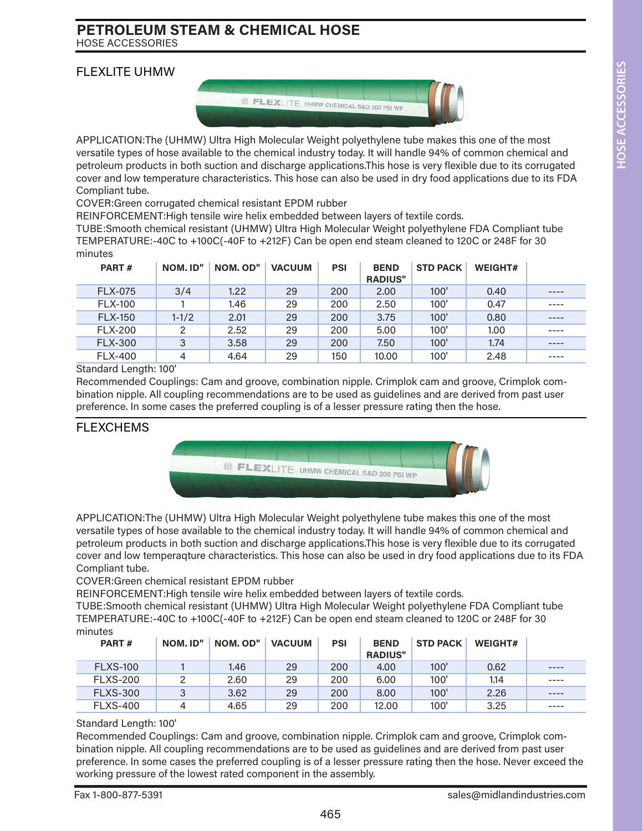### FLEXLITE UHMW



APPLICATION:The (UHMW) Ultra High Molecular Weight polyethylene tube makes this one of the most versatile types of hose available to the chemical industry today. It will handle 94% of common chemical and petroleum products in both suction and discharge applications.This hose is very flexible due to its corrugated cover and low temperature characteristics. This hose can also be used in dry food applications due to its FDA Compliant tube.

COVER:Green corrugated chemical resistant EPDM rubber

REINFORCEMENT:High tensile wire helix embedded between layers of textile cords.

TUBE:Smooth chemical resistant (UHMW) Ultra High Molecular Weight polyethylene FDA Compliant tube TEMPERATURE:-40C to +100C(-40F to +212F) Can be open end steam cleaned to 120C or 248F for 30 minutes

| PART#          | NOM. ID"  | NOM. OD" | <b>VACUUM</b> | <b>PSI</b> | <b>BEND</b><br><b>RADIUS"</b> | <b>STD PACK</b> | WEIGHT# |      |
|----------------|-----------|----------|---------------|------------|-------------------------------|-----------------|---------|------|
| <b>FLX-075</b> | 3/4       | 1.22     | 29            | 200        | 2.00                          | 100'            | 0.40    | ---- |
| <b>FLX-100</b> |           | 1.46     | 29            | 200        | 2.50                          | 100'            | 0.47    |      |
| <b>FLX-150</b> | $1 - 1/2$ | 2.01     | 29            | 200        | 3.75                          | 100'            | 0.80    | ---- |
| <b>FLX-200</b> | 2         | 2.52     | 29            | 200        | 5.00                          | 100'            | 1.00    |      |
| <b>FLX-300</b> | 3         | 3.58     | 29            | 200        | 7.50                          | 100'            | 1.74    |      |
| <b>FLX-400</b> | 4         | 4.64     | 29            | 150        | 10.00                         | 100'            | 2.48    | ---- |

Standard Length: 100'

Recommended Couplings: Cam and groove, combination nipple. Crimplok cam and groove, Crimplok combination nipple. All coupling recommendations are to be used as guidelines and are derived from past user preference. In some cases the preferred coupling is of a lesser pressure rating then the hose.

### FLEXCHEMS



APPLICATION:The (UHMW) Ultra High Molecular Weight polyethylene tube makes this one of the most versatile types of hose available to the chemical industry today. It will handle 94% of common chemical and petroleum products in both suction and discharge applications.This hose is very flexible due to its corrugated cover and low temperaqture characteristics. This hose can also be used in dry food applications due to its FDA Compliant tube.

COVER:Green chemical resistant EPDM rubber

REINFORCEMENT:High tensile wire helix embedded between layers of textile cords.

TUBE:Smooth chemical resistant (UHMW) Ultra High Molecular Weight polyethylene FDA Compliant tube TEMPERATURE:-40C to +100C(-40F to +212F) Can be open end steam cleaned to 120C or 248F for 30 minutes

| PART#           | NOM. ID" | NOM. OD" | <b>VACUUM</b> | <b>PSI</b> | <b>BEND</b><br><b>RADIUS"</b> | <b>STD PACK</b> | <b>WEIGHT#</b> |      |
|-----------------|----------|----------|---------------|------------|-------------------------------|-----------------|----------------|------|
| <b>FLXS-100</b> |          | 1.46     | 29            | 200        | 4.00                          | 100'            | 0.62           | ---- |
| <b>FLXS-200</b> |          | 2.60     | 29            | 200        | 6.00                          | 100'            | 1.14           | ---- |
| <b>FLXS-300</b> |          | 3.62     | 29            | 200        | 8.00                          | 100'            | 2.26           | ---- |
| <b>FLXS-400</b> | 4        | 4.65     | 29            | 200        | 12.00                         | 100'            | 3.25           | ---- |

#### Standard Length: 100'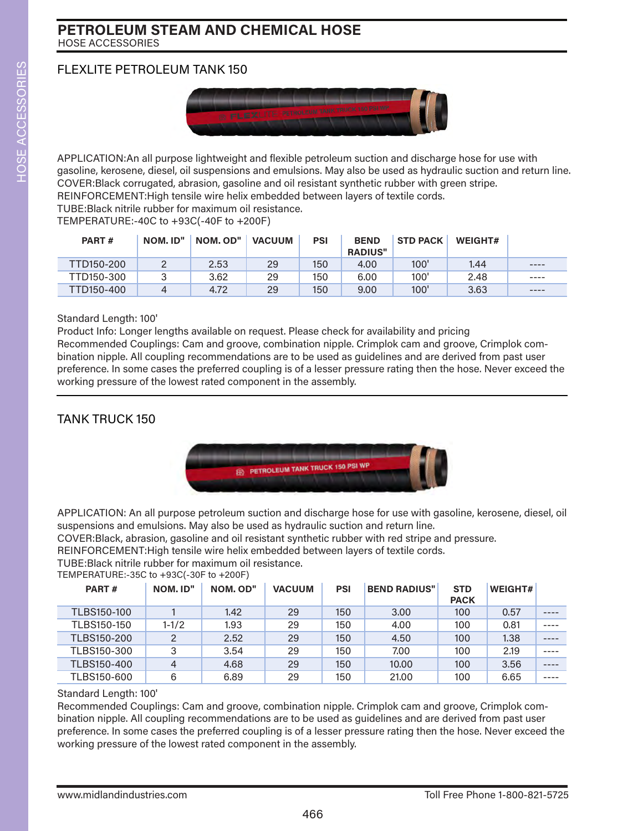# FLEXLITE PETROLEUM TANK 150



APPLICATION:An all purpose lightweight and flexible petroleum suction and discharge hose for use with gasoline, kerosene, diesel, oil suspensions and emulsions. May also be used as hydraulic suction and return line. COVER:Black corrugated, abrasion, gasoline and oil resistant synthetic rubber with green stripe. REINFORCEMENT:High tensile wire helix embedded between layers of textile cords.

TUBE:Black nitrile rubber for maximum oil resistance.

TEMPERATURE:-40C to +93C(-40F to +200F)

| PART#      | NOM. ID" | NOM. OD" | <b>VACUUM</b> | PSI | <b>BEND</b><br><b>RADIUS"</b> | <b>STD PACK</b> | <b>WEIGHT#</b> |       |
|------------|----------|----------|---------------|-----|-------------------------------|-----------------|----------------|-------|
| TTD150-200 |          | 2.53     | 29            | 150 | 4.00                          | 100'            | 1.44           | ----  |
| TTD150-300 |          | 3.62     | 29            | 150 | 6.00                          | 100'            | 2.48           | $---$ |
| TTD150-400 |          | 4.72     | 29            | 150 | 9.00                          | 100'            | 3.63           | ----  |

#### Standard Length: 100'

Product Info: Longer lengths available on request. Please check for availability and pricing Recommended Couplings: Cam and groove, combination nipple. Crimplok cam and groove, Crimplok combination nipple. All coupling recommendations are to be used as guidelines and are derived from past user preference. In some cases the preferred coupling is of a lesser pressure rating then the hose. Never exceed the working pressure of the lowest rated component in the assembly.

# TANK TRUCK 150



APPLICATION: An all purpose petroleum suction and discharge hose for use with gasoline, kerosene, diesel, oil suspensions and emulsions. May also be used as hydraulic suction and return line.

COVER:Black, abrasion, gasoline and oil resistant synthetic rubber with red stripe and pressure.

REINFORCEMENT:High tensile wire helix embedded between layers of textile cords.

TUBE:Black nitrile rubber for maximum oil resistance.

TEMPERATURE:-35C to +93C(-30F to +200F)

| PART#       | NOM. ID"       | NOM. OD" | <b>VACUUM</b> | <b>PSI</b> | <b>BEND RADIUS"</b> | <b>STD</b><br><b>PACK</b> | <b>WEIGHT#</b> |  |
|-------------|----------------|----------|---------------|------------|---------------------|---------------------------|----------------|--|
| TLBS150-100 |                | 1.42     | 29            | 150        | 3.00                | 100                       | 0.57           |  |
| TLBS150-150 | $1 - 1/2$      | 1.93     | 29            | 150        | 4.00                | 100                       | 0.81           |  |
| TLBS150-200 | 2              | 2.52     | 29            | 150        | 4.50                | 100                       | 1.38           |  |
| TLBS150-300 | 3              | 3.54     | 29            | 150        | 7.00                | 100                       | 2.19           |  |
| TLBS150-400 | $\overline{4}$ | 4.68     | 29            | 150        | 10,00               | 100                       | 3.56           |  |
| TLBS150-600 | 6              | 6.89     | 29            | 150        | 21.00               | 100                       | 6.65           |  |

### Standard Length: 100'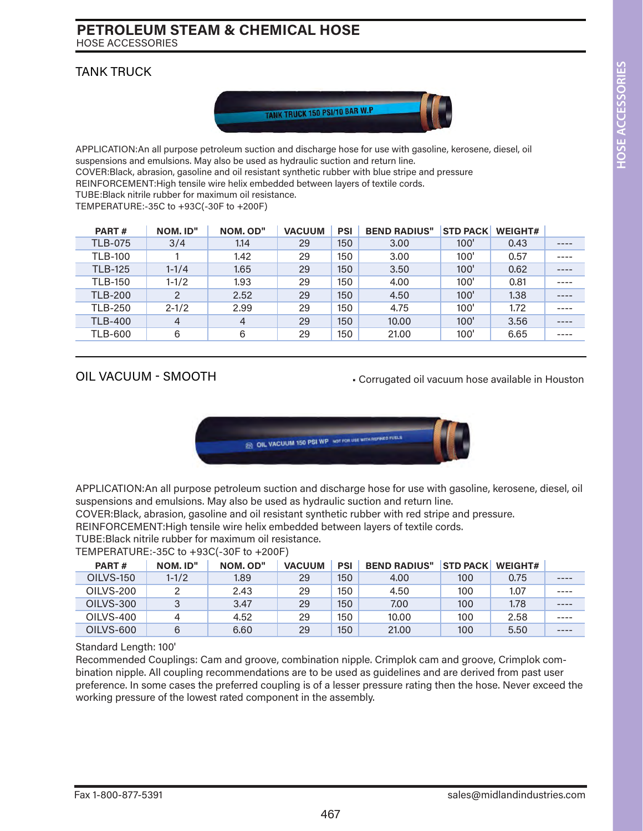### TANK TRUCK



APPLICATION:An all purpose petroleum suction and discharge hose for use with gasoline, kerosene, diesel, oil suspensions and emulsions. May also be used as hydraulic suction and return line. COVER:Black, abrasion, gasoline and oil resistant synthetic rubber with blue stripe and pressure

REINFORCEMENT:High tensile wire helix embedded between layers of textile cords.

TUBE:Black nitrile rubber for maximum oil resistance.

TEMPERATURE:-35C to +93C(-30F to +200F)

| PART#          | NOM. ID"      | NOM. OD"       | <b>VACUUM</b> | <b>PSI</b> | <b>BEND RADIUS"</b> | <b>STD PACK</b> | <b>WEIGHT#</b> |      |
|----------------|---------------|----------------|---------------|------------|---------------------|-----------------|----------------|------|
| <b>TLB-075</b> | 3/4           | 1.14           | 29            | 150        | 3.00                | 100'            | 0.43           | ---- |
| <b>TLB-100</b> |               | 1.42           | 29            | 150        | 3.00                | 100'            | 0.57           |      |
| <b>TLB-125</b> | $1 - 1/4$     | 1.65           | 29            | 150        | 3.50                | 100'            | 0.62           | ---- |
| <b>TLB-150</b> | $1 - 1/2$     | 1.93           | 29            | 150        | 4.00                | 100'            | 0.81           |      |
| <b>TLB-200</b> | $\mathcal{P}$ | 2.52           | 29            | 150        | 4.50                | 100'            | 1.38           |      |
| <b>TLB-250</b> | $2 - 1/2$     | 2.99           | 29            | 150        | 4.75                | 100'            | 1.72           | ---- |
| <b>TLB-400</b> | 4             | $\overline{4}$ | 29            | 150        | 10,00               | 100'            | 3.56           | ---- |
| <b>TLB-600</b> | 6             | 6              | 29            | 150        | 21.00               | 100'            | 6.65           | ---- |
|                |               |                |               |            |                     |                 |                |      |

### OIL VACUUM - SMOOTH

• Corrugated oil vacuum hose available in Houston



APPLICATION:An all purpose petroleum suction and discharge hose for use with gasoline, kerosene, diesel, oil suspensions and emulsions. May also be used as hydraulic suction and return line.

COVER:Black, abrasion, gasoline and oil resistant synthetic rubber with red stripe and pressure.

REINFORCEMENT:High tensile wire helix embedded between layers of textile cords.

TUBE:Black nitrile rubber for maximum oil resistance.

TEMPERATURE:-35C to +93C(-30F to +200F)

| PART#     | NOM. ID"  | NOM. OD" | <b>VACUUM</b> | <b>PSI</b> | <b>BEND RADIUS"</b> | <b>STD PACK</b> | <b>WEIGHT#</b> |      |
|-----------|-----------|----------|---------------|------------|---------------------|-----------------|----------------|------|
| OILVS-150 | $1 - 1/2$ | 1.89     | 29            | 150        | 4.00                | 100             | 0.75           | ---- |
| OILVS-200 |           | 2.43     | 29            | 150        | 4.50                | 100             | 1.07           | ---- |
| OILVS-300 |           | 3.47     | 29            | 150        | 7.00                | 100             | 1.78           | ---- |
| OILVS-400 |           | 4.52     | 29            | 150        | 10.00               | 100             | 2.58           | ---- |
| OILVS-600 |           | 6.60     | 29            | 150        | 21.00               | 100             | 5.50           | ---- |

#### Standard Length: 100'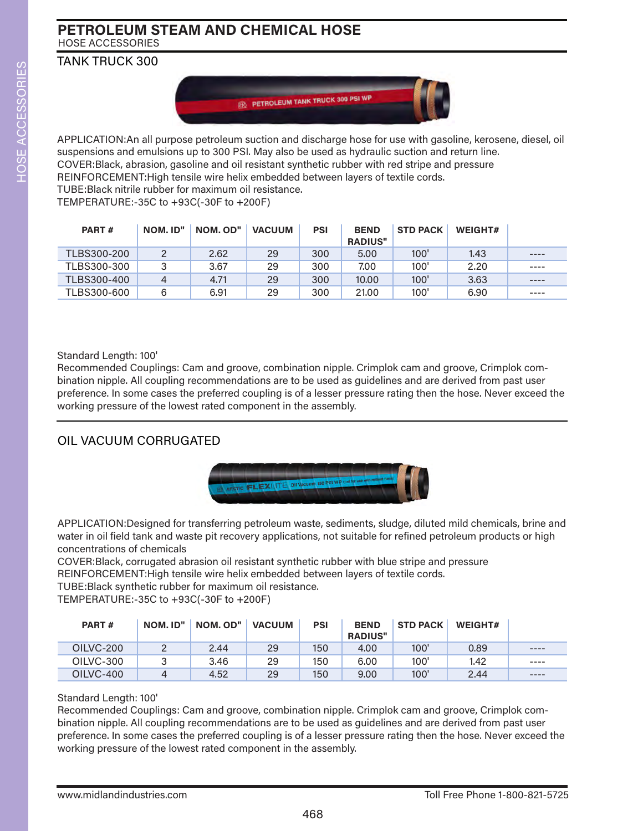TANK TRUCK 300



APPLICATION:An all purpose petroleum suction and discharge hose for use with gasoline, kerosene, diesel, oil suspensions and emulsions up to 300 PSI. May also be used as hydraulic suction and return line. COVER:Black, abrasion, gasoline and oil resistant synthetic rubber with red stripe and pressure REINFORCEMENT:High tensile wire helix embedded between layers of textile cords. TUBE:Black nitrile rubber for maximum oil resistance.

TEMPERATURE:-35C to +93C(-30F to +200F)

| PART#       | NOM. ID" | NOM. OD" | <b>VACUUM</b> | PSI | <b>BEND</b><br><b>RADIUS"</b> | <b>STD PACK</b> | WEIGHT# |       |
|-------------|----------|----------|---------------|-----|-------------------------------|-----------------|---------|-------|
| TLBS300-200 |          | 2.62     | 29            | 300 | 5.00                          | 100'            | 1.43    | ----  |
| TLBS300-300 |          | 3.67     | 29            | 300 | 7.00                          | 100'            | 2.20    | $---$ |
| TLBS300-400 |          | 4.71     | 29            | 300 | 10,00                         | 100'            | 3.63    | ----  |
| TLBS300-600 | 6        | 6.91     | 29            | 300 | 21.00                         | 100'            | 6.90    | $---$ |

Standard Length: 100'

Recommended Couplings: Cam and groove, combination nipple. Crimplok cam and groove, Crimplok combination nipple. All coupling recommendations are to be used as guidelines and are derived from past user preference. In some cases the preferred coupling is of a lesser pressure rating then the hose. Never exceed the working pressure of the lowest rated component in the assembly.

# OIL VACUUM CORRUGATED



APPLICATION:Designed for transferring petroleum waste, sediments, sludge, diluted mild chemicals, brine and water in oil field tank and waste pit recovery applications, not suitable for refined petroleum products or high concentrations of chemicals

COVER:Black, corrugated abrasion oil resistant synthetic rubber with blue stripe and pressure REINFORCEMENT:High tensile wire helix embedded between layers of textile cords.

TUBE:Black synthetic rubber for maximum oil resistance.

TEMPERATURE:-35C to +93C(-30F to +200F)

| PART#     | NOM. ID" | NOM. OD" | <b>VACUUM</b> | PSI | <b>BEND</b><br><b>RADIUS"</b> | <b>STD PACK</b> | <b>WEIGHT#</b> |       |
|-----------|----------|----------|---------------|-----|-------------------------------|-----------------|----------------|-------|
| OILVC-200 |          | 2.44     | 29            | 150 | 4.00                          | 100'            | 0.89           | $---$ |
| OILVC-300 |          | 3.46     | 29            | 150 | 6.00                          | 100'            | 1.42           | $---$ |
| OILVC-400 |          | 4.52     | 29            | 150 | 9.00                          | 100'            | 2.44           | $---$ |

### Standard Length: 100'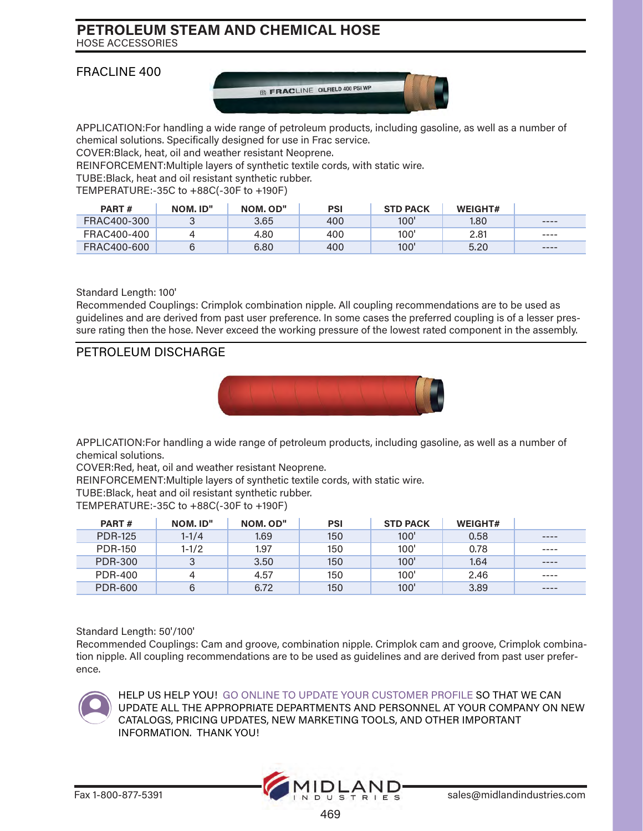### FRACLINE 400



APPLICATION:For handling a wide range of petroleum products, including gasoline, as well as a number of chemical solutions. Specifically designed for use in Frac service.

COVER:Black, heat, oil and weather resistant Neoprene.

REINFORCEMENT:Multiple layers of synthetic textile cords, with static wire.

TUBE:Black, heat and oil resistant synthetic rubber.

TEMPERATURE:-35C to +88C(-30F to +190F)

| PART#       | NOM. ID" | NOM. OD" | PSI | <b>STD PACK</b> | <b>WEIGHT#</b> |           |
|-------------|----------|----------|-----|-----------------|----------------|-----------|
| FRAC400-300 |          | 3.65     | 400 | 100'            | 1.80           | $---$     |
| FRAC400-400 |          | 4.80     | 400 | 100'            | 2.81           | $- - - -$ |
| FRAC400-600 |          | 6.80     | 400 | 100'            | 5.20           | $---$     |

#### Standard Length: 100'

Recommended Couplings: Crimplok combination nipple. All coupling recommendations are to be used as guidelines and are derived from past user preference. In some cases the preferred coupling is of a lesser pressure rating then the hose. Never exceed the working pressure of the lowest rated component in the assembly.

### PETROLEUM DISCHARGE



APPLICATION:For handling a wide range of petroleum products, including gasoline, as well as a number of chemical solutions.

COVER:Red, heat, oil and weather resistant Neoprene.

REINFORCEMENT:Multiple layers of synthetic textile cords, with static wire.

TUBE:Black, heat and oil resistant synthetic rubber.

TEMPERATURE:-35C to +88C(-30F to +190F)

| PART#          | NOM. ID"  | NOM. OD" | <b>PSI</b> | <b>STD PACK</b> | <b>WEIGHT#</b> |         |
|----------------|-----------|----------|------------|-----------------|----------------|---------|
| <b>PDR-125</b> | $1 - 1/4$ | 1.69     | 150        | 100'            | 0.58           | ----    |
| <b>PDR-150</b> | $1 - 1/2$ | 1.97     | 150        | 100'            | 0.78           | ----    |
| <b>PDR-300</b> |           | 3.50     | 150        | 100'            | 1.64           | ----    |
| <b>PDR-400</b> |           | 4.57     | 150        | 100'            | 2.46           | $--- -$ |
| <b>PDR-600</b> |           | 6.72     | 150        | 100'            | 3.89           | $---$   |

#### Standard Length: 50'/100'

Recommended Couplings: Cam and groove, combination nipple. Crimplok cam and groove, Crimplok combination nipple. All coupling recommendations are to be used as guidelines and are derived from past user preference.



HELP US HELP YOU! GO ONLINE TO UPDATE YOUR CUSTOMER PROFILE SO THAT WE CAN UPDATE ALL THE APPROPRIATE DEPARTMENTS AND PERSONNEL AT YOUR COMPANY ON NEW CATALOGS, PRICING UPDATES, NEW MARKETING TOOLS, AND OTHER IMPORTANT INFORMATION. THANK YOU!

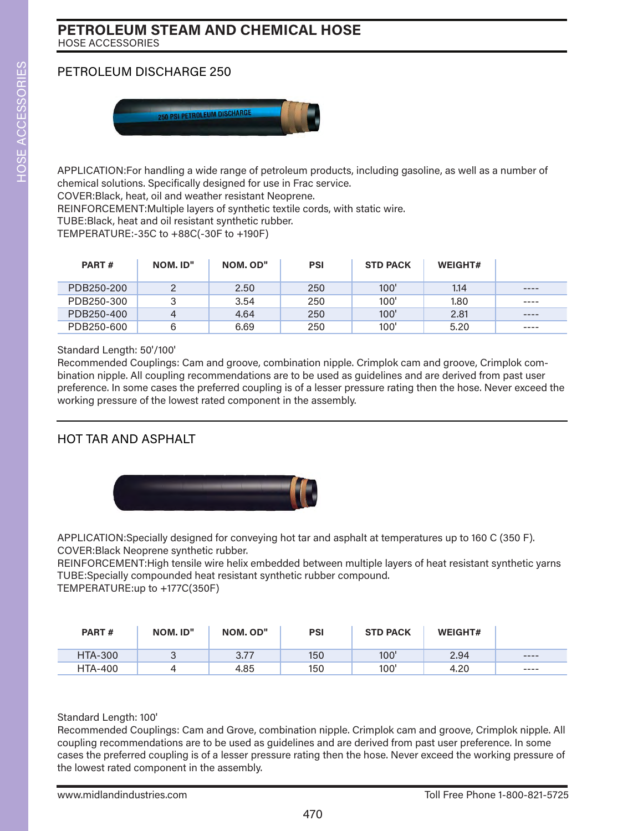# PETROLEUM DISCHARGE 250



APPLICATION:For handling a wide range of petroleum products, including gasoline, as well as a number of chemical solutions. Specifically designed for use in Frac service.

COVER:Black, heat, oil and weather resistant Neoprene.

REINFORCEMENT:Multiple layers of synthetic textile cords, with static wire.

TUBE:Black, heat and oil resistant synthetic rubber.

TEMPERATURE:-35C to +88C(-30F to +190F)

| PART#      | NOM. ID"       | NOM. OD" | <b>PSI</b> | <b>STD PACK</b> | <b>WEIGHT#</b> |         |
|------------|----------------|----------|------------|-----------------|----------------|---------|
| PDB250-200 |                | 2.50     | 250        | 100'            | 1.14           | $--- -$ |
| PDB250-300 | 3              | 3.54     | 250        | 100'            | 1.80           | ----    |
| PDB250-400 | $\overline{4}$ | 4.64     | 250        | 100'            | 2.81           | $---$   |
| PDB250-600 | 6              | 6.69     | 250        | 100'            | 5.20           | ----    |

#### Standard Length: 50'/100'

Recommended Couplings: Cam and groove, combination nipple. Crimplok cam and groove, Crimplok combination nipple. All coupling recommendations are to be used as guidelines and are derived from past user preference. In some cases the preferred coupling is of a lesser pressure rating then the hose. Never exceed the working pressure of the lowest rated component in the assembly.

# HOT TAR AND ASPHALT



APPLICATION:Specially designed for conveying hot tar and asphalt at temperatures up to 160 C (350 F). COVER:Black Neoprene synthetic rubber.

REINFORCEMENT:High tensile wire helix embedded between multiple layers of heat resistant synthetic yarns TUBE:Specially compounded heat resistant synthetic rubber compound. TEMPERATURE:up to +177C(350F)

| PART#          | NOM. ID" | NOM. OD"       | <b>PSI</b> | <b>STD PACK</b> | <b>WEIGHT#</b> |       |
|----------------|----------|----------------|------------|-----------------|----------------|-------|
| <b>HTA-300</b> |          | つつつ<br>، ، ، ب | 150        | 100'            | 2.94           | ----  |
| <b>HTA-400</b> |          | 4.85           | 150        | 100'            | 4.20           | $---$ |

#### Standard Length: 100'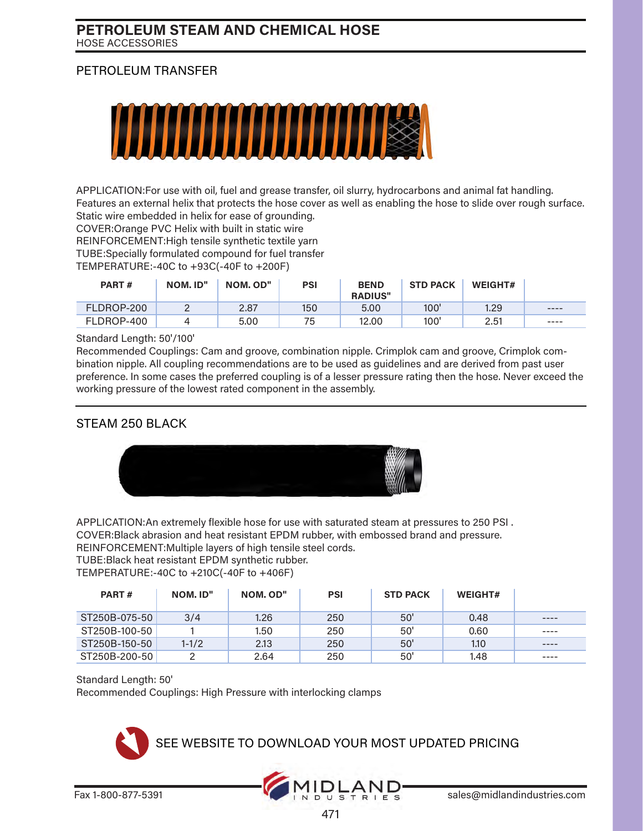### PETROLEUM TRANSFER



APPLICATION:For use with oil, fuel and grease transfer, oil slurry, hydrocarbons and animal fat handling. Features an external helix that protects the hose cover as well as enabling the hose to slide over rough surface. Static wire embedded in helix for ease of grounding.

COVER:Orange PVC Helix with built in static wire REINFORCEMENT:High tensile synthetic textile yarn TUBE:Specially formulated compound for fuel transfer TEMPERATURE:-40C to +93C(-40F to +200F)

| PART#      | NOM. ID" | NOM. OD" | <b>PSI</b> | <b>BEND</b><br><b>RADIUS"</b> | <b>STD PACK</b> | <b>WEIGHT#</b> |       |
|------------|----------|----------|------------|-------------------------------|-----------------|----------------|-------|
| FLDROP-200 |          | 2.87     | 150        | 5,00                          | 100'            | 1.29           | ----  |
| FLDROP-400 |          | 5.00     | 75         | 12,00                         | 100'            | 2.51           | $---$ |

Standard Length: 50'/100'

Recommended Couplings: Cam and groove, combination nipple. Crimplok cam and groove, Crimplok combination nipple. All coupling recommendations are to be used as guidelines and are derived from past user preference. In some cases the preferred coupling is of a lesser pressure rating then the hose. Never exceed the working pressure of the lowest rated component in the assembly.

### STEAM 250 BLACK



APPLICATION:An extremely flexible hose for use with saturated steam at pressures to 250 PSI . COVER:Black abrasion and heat resistant EPDM rubber, with embossed brand and pressure.

REINFORCEMENT:Multiple layers of high tensile steel cords.

TUBE:Black heat resistant EPDM synthetic rubber.

TEMPERATURE:-40C to +210C(-40F to +406F)

| PART#         | NOM. ID"  | NOM. OD" | <b>PSI</b> | <b>STD PACK</b> | <b>WEIGHT#</b> |           |
|---------------|-----------|----------|------------|-----------------|----------------|-----------|
| ST250B-075-50 | 3/4       | 1,26     | 250        | 50'             | 0.48           | $- - - -$ |
| ST250B-100-50 |           | 1.50     | 250        | 50'             | 0.60           | ----      |
| ST250B-150-50 | $1 - 1/2$ | 2.13     | 250        | 50'             | 1.10           | ----      |
| ST250B-200-50 |           | 2.64     | 250        | 50'             | 1.48           | ----      |

#### Standard Length: 50'

Recommended Couplings: High Pressure with interlocking clamps